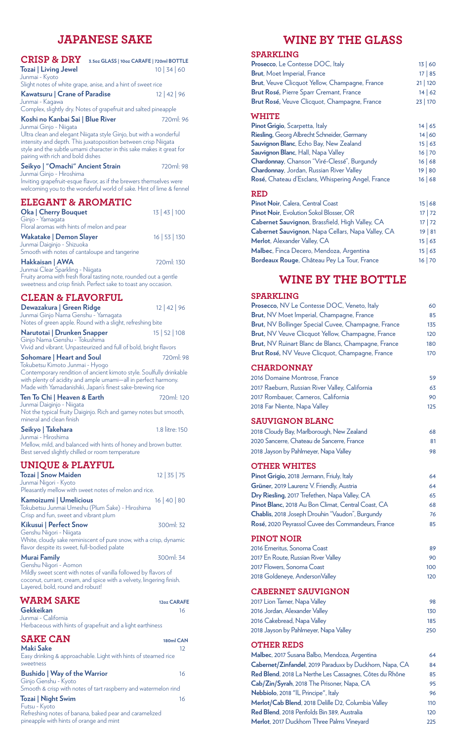# **JAPANESE SAKE**

| <b>CRISP &amp; DRY</b><br>3.5oz GLASS   10oz CARAFE   720ml BOTTLE<br><b>Tozai   Living Jewel</b><br>Junmai - Kyoto                                                                                                                              | 10 34 60             |
|--------------------------------------------------------------------------------------------------------------------------------------------------------------------------------------------------------------------------------------------------|----------------------|
| Slight notes of white grape, anise, and a hint of sweet rice<br>Kawatsuru   Crane of Paradise<br>Junmai - Kagawa                                                                                                                                 | 12   42   96         |
| Complex, slightly dry. Notes of grapefruit and salted pineapple<br>Koshi no Kanbai Sai   Blue River<br>Junmai Ginjo - Niigata                                                                                                                    | 720ml: 96            |
| Ultra clean and elegant Niigata style Ginjo, but with a wonderful<br>intensity and depth. This juxatoposition between crisp Niigata<br>style and the subtle umami character in this sake makes it great for<br>pairing with rich and bold dishes |                      |
| Seikyo   "Omachi" Ancient Strain                                                                                                                                                                                                                 | 720ml: 98            |
| Junmai Ginjo - Hiroshima<br>Inviting grapefruit-esque flavor, as if the brewers themselves were<br>welcoming you to the wonderful world of sake. Hint of lime & fennel                                                                           |                      |
| <b>ELEGANT &amp; AROMATIC</b>                                                                                                                                                                                                                    |                      |
| <b>Oka   Cherry Bouquet</b><br>Ginjo - Yamagata                                                                                                                                                                                                  | 13   43   100        |
| Floral aromas with hints of melon and pear<br><b>Wakatake   Demon Slayer</b><br>Junmai Daiginjo - Shizuoka                                                                                                                                       | 16   53   130        |
| Smooth with notes of cantaloupe and tangerine<br>Hakkaisan   AWA<br>Junmai Clear Sparkling - Niigata                                                                                                                                             | 720ml: 130           |
| Fruity aroma with fresh floral tasting note, rounded out a gentle<br>sweetness and crisp finish. Perfect sake to toast any occasion.                                                                                                             |                      |
| <b>CLEAN &amp; FLAVORFUL</b><br>Dewazakura   Green Ridge<br>Junmai Ginjo Nama Genshu - Yamagata                                                                                                                                                  | $12$   42   96       |
| Notes of green apple. Round with a slight, refreshing bite<br>Narutotai   Drunken Snapper                                                                                                                                                        | 15   52   108        |
| Ginjo Nama Genshu - Tokushima<br>Vivid and vibrant. Unpasteurized and full of bold, bright flavors                                                                                                                                               |                      |
| Sohomare   Heart and Soul<br>Tokubetsu Kimoto Junmai - Hyogo<br>Contemporary rendition of ancient kimoto style. Soulfully drinkable<br>with plenty of acidity and ample umami—all in perfect harmony.                                            | 720ml: 98            |
| Made with Yamadanishiki, Japan's finest sake-brewing rice<br>Ten To Chi   Heaven & Earth                                                                                                                                                         | 720ml: 120           |
| Junmai Daiginjo - Niigata<br>Not the typical fruity Daiginjo. Rich and gamey notes but smooth,<br>mineral and clean finish                                                                                                                       |                      |
| Seikyo   Takehara                                                                                                                                                                                                                                | 1.8 litre: 150       |
| Junmai - Hiroshima<br>Mellow, mild, and balanced with hints of honey and brown butter.<br>Best served slightly chilled or room temperature                                                                                                       |                      |
| <b>UNIQUE &amp; PLAYFUL</b><br>Tozai   Snow Maiden<br>Junmai Nigori - Kyoto                                                                                                                                                                      | 12   35   75         |
| Pleasantly mellow with sweet notes of melon and rice.                                                                                                                                                                                            |                      |
| Kamoizumi   Umelicious<br>Tokubetsu Junmai Umeshu (Plum Sake) - Hiroshima<br>Crisp and fun, sweet and vibrant plum                                                                                                                               | $16 \mid 40 \mid 80$ |
| Kikusui   Perfect Snow<br>Genshu Nigori - Niigata<br>White, cloudy sake reminiscent of pure snow, with a crisp, dynamic                                                                                                                          | 300ml: 32            |
| flavor despite its sweet, full-bodied palate<br>Murai Family                                                                                                                                                                                     | 300ml: 34            |
| Genshu Nigori - Aomon<br>Mildly sweet scent with notes of vanilla followed by flavors of<br>coconut, currant, cream, and spice with a velvety, lingering finish.<br>Layered, bold, round and robust!                                             |                      |
| <b>WARM SAKE</b>                                                                                                                                                                                                                                 | 12oz CARAFE          |
| Gekkeikan<br>Junmai - California<br>Herbaceous with hints of grapefruit and a light earthiness                                                                                                                                                   | 16                   |
| <b>SAKE CAN</b>                                                                                                                                                                                                                                  | 180ml CAN            |
| <b>Maki Sake</b><br>Easy drinking & approachable. Light with hints of steamed rice                                                                                                                                                               | 12                   |
| sweetness<br><b>Bushido   Way of the Warrior</b><br>Ginjo Genshu - Kyoto                                                                                                                                                                         | 16                   |
| Smooth & crisp with notes of tart raspberry and watermelon rind<br><b>Tozai   Night Swim</b>                                                                                                                                                     | 16                   |

Futsu - Kyoto

Refreshing notes of banana, baked pear and caramelized

pineapple with hints of orange and mint

# **WINE BY THE GLASS**

| Prosecco, Le Contesse DOC, Italy<br>13   60                    |
|----------------------------------------------------------------|
|                                                                |
| <b>Brut</b> , Moet Imperial, France<br>17   85                 |
| Brut, Veuve Clicquot Yellow, Champagne, France<br>21 120       |
| Brut Rosé, Pierre Sparr Cremant, France<br>14   62             |
| Brut Rosé, Veuve Clicquot, Champagne, France<br>23   170       |
| <b>WHITE</b>                                                   |
| Pinot Grigio, Scarpetta, Italy<br>14   65                      |
| Riesling, Georg Albrecht Schneider, Germany<br>14 60           |
| Sauvignon Blanc, Echo Bay, New Zealand<br>15   63              |
| Sauvignon Blanc, Hall, Napa Valley<br>16 70                    |
| Chardonnay, Chanson "Viré-Clessé", Burgundy<br>16   68         |
| <b>Chardonnay</b> , Jordan, Russian River Valley<br>19   80    |
| Rosé, Chateau d'Esclans, Whispering Angel, France<br>16   68   |
| <b>RED</b>                                                     |
| Pinot Noir, Calera, Central Coast<br>15   68                   |
| <b>Pinot Noir, Evolution Sokol Blosser, OR</b><br>17 72        |
| Cabernet Sauvignon, Brassfield, High Valley, CA<br>17 72       |
| Cabernet Sauvignon, Napa Cellars, Napa Valley, CA<br>$19$   81 |
| Merlot, Alexander Valley, CA<br>15   63                        |
| Malbec, Finca Decero, Mendoza, Argentina<br>15   63            |
| Bordeaux Rouge, Château Pey La Tour, France<br>16 70           |
| WINE BY THE BOTTLE                                             |
| <b>SPARKLING</b>                                               |
| <b>Prosecco.</b> NV Le Contesse DOC. Veneto. Italy<br>60       |

| <b>SPARKLING</b>                                        |     |
|---------------------------------------------------------|-----|
| Prosecco, NV Le Contesse DOC, Veneto, Italy             | 60  |
| Brut, NV Moet Imperial, Champagne, France               | 85  |
| Brut, NV Bollinger Special Cuvee, Champagne, France     | 135 |
| Brut, NV Veuve Clicquot Yellow, Champagne, France       | 120 |
| Brut, NV Ruinart Blanc de Blancs, Champagne, France     | 180 |
| Brut Rosé, NV Veuve Clicquot, Champagne, France         | 170 |
| <b>CHARDONNAY</b>                                       |     |
| 2016 Domaine Montrose, France                           | 59  |
| 2017 Raeburn, Russian River Valley, California          | 63  |
| 2017 Rombauer, Carneros, California                     | 90  |
| 2018 Far Niente, Napa Valley                            | 125 |
| <b>SAUVIGNON BLANC</b>                                  |     |
| 2018 Cloudy Bay, Marlborough, New Zealand               | 68  |
| 2020 Sancerre, Chateau de Sancerre, France              | 81  |
| 2018 Jayson by Pahlmeyer, Napa Valley                   | 98  |
| <b>OTHER WHITES</b>                                     |     |
| Pinot Grigio, 2018 Jermann, Friuly, Italy               | 64  |
| Grüner, 2019 Laurenz V. Friendly, Austria               | 64  |
| Dry Riesling, 2017 Trefethen, Napa Valley, CA           | 65  |
| Pinot Blanc, 2018 Au Bon Climat, Central Coast, CA      | 68  |
| Chablis, 2018 Joseph Drouhin "Vaudon", Burgundy         | 76  |
| Rosé, 2020 Peyrassol Cuvee des Commandeurs, France      | 85  |
| <b>PINOT NOIR</b>                                       |     |
| 2016 Emeritus, Sonoma Coast                             | 89  |
| 2017 En Route, Russian River Valley                     | 90  |
| 2017 Flowers, Sonoma Coast                              | 100 |
| 2018 Goldeneye, AndersonValley                          | 120 |
| <b>CABERNET SAUVIGNON</b>                               |     |
| 2017 Lion Tamer, Napa Valley                            | 98  |
| 2016 Jordan, Alexander Valley                           | 130 |
| 2016 Cakebread, Napa Valley                             | 185 |
| 2018 Jayson by Pahlmeyer, Napa Valley                   | 250 |
| <b>OTHER REDS</b>                                       |     |
| Malbec, 2017 Susana Balbo, Mendoza, Argentina           | 64  |
| Cabernet/Zinfandel, 2019 Paraduxx by Duckhorn, Napa, CA | 84  |
| Red Blend, 2018 La Nerthe Les Cassagnes, Côtes du Rhône | 85  |
| Cab/Zin/Syrah, 2018 The Prisoner, Napa, CA              | 95  |
| Nebbiolo, 2018 "IL Principe", Italy                     | 96  |
| Merlot/Cab Blend, 2018 Delille D2, Columbia Valley      | 110 |
| Red Blend, 2018 Penfolds Bin 389, Australia             | 120 |

**Merlot**, 2017 Duckhorn Three Palms Vineyard 225